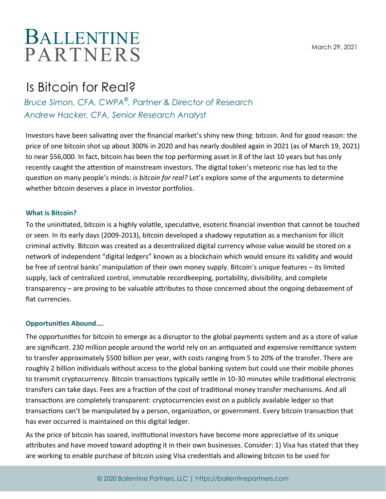March 29, 2021

# BALLENT INE **PARTNERS**

# Is Bitcoin for Real?

*Bruce Simon, CFA, CWPA*® *, Partner & Director of Research Andrew Hacker, CFA, Senior Research Analyst*

Investors have been salivating over the financial market's shiny new thing: bitcoin. And for good reason: the price of one bitcoin shot up about 300% in 2020 and has nearly doubled again in 2021 (as of March 19, 2021) to near \$56,000. In fact, bitcoin has been the top performing asset in 8 of the last 10 years but has only recently caught the attention of mainstream investors. The digital token's meteoric rise has led to the question on many people's minds: *is bitcoin for real?* Let's explore some of the arguments to determine whether bitcoin deserves a place in investor portfolios.

## **What is Bitcoin?**

To the uninitiated, bitcoin is a highly volatile, speculative, esoteric financial invention that cannot be touched or seen. In its early days (2009-2013), bitcoin developed a shadowy reputation as a mechanism for illicit criminal activity. Bitcoin was created as a decentralized digital currency whose value would be stored on a network of independent "digital ledgers" known as a blockchain which would ensure its validity and would be free of central banks' manipulation of their own money supply. Bitcoin's unique features – its limited supply, lack of centralized control, immutable recordkeeping, portability, divisibility, and complete transparency – are proving to be valuable attributes to those concerned about the ongoing debasement of fiat currencies.

### **Opportunities Abound….**

The opportunities for bitcoin to emerge as a disruptor to the global payments system and as a store of value are significant. 230 million people around the world rely on an antiquated and expensive remittance system to transfer approximately \$500 billion per year, with costs ranging from 5 to 20% of the transfer. There are roughly 2 billion individuals without access to the global banking system but could use their mobile phones to transmit cryptocurrency. Bitcoin transactions typically settle in 10-30 minutes while traditional electronic transfers can take days. Fees are a fraction of the cost of traditional money transfer mechanisms. And all transactions are completely transparent: cryptocurrencies exist on a publicly available ledger so that transactions can't be manipulated by a person, organization, or government. Every bitcoin transaction that has ever occurred is maintained on this digital ledger.

As the price of bitcoin has soared, institutional investors have become more appreciative of its unique attributes and have moved toward adopting it in their own businesses. Consider: 1) Visa has stated that they are working to enable purchase of bitcoin using Visa credentials and allowing bitcoin to be used for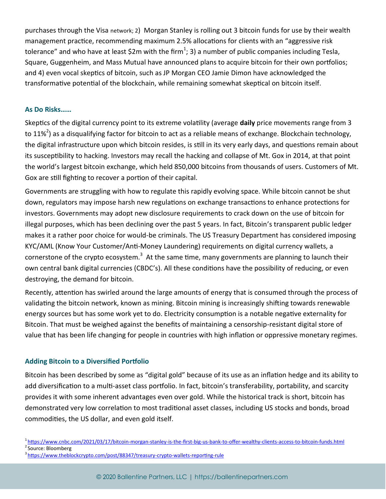purchases through the Visa network; 2) Morgan Stanley is rolling out 3 bitcoin funds for use by their wealth management practice, recommending maximum 2.5% allocations for clients with an "aggressive risk tolerance" and who have at least \$2m with the firm<sup>1</sup>; 3) a number of public companies including Tesla, Square, Guggenheim, and Mass Mutual have announced plans to acquire bitcoin for their own portfolios; and 4) even vocal skeptics of bitcoin, such as JP Morgan CEO Jamie Dimon have acknowledged the transformative potential of the blockchain, while remaining somewhat skeptical on bitcoin itself.

#### **As Do Risks……**

Skeptics of the digital currency point to its extreme volatility (average **daily** price movements range from 3 to 11%<sup>2</sup>) as a disqualifying factor for bitcoin to act as a reliable means of exchange. Blockchain technology, the digital infrastructure upon which bitcoin resides, is still in its very early days, and questions remain about its susceptibility to hacking. Investors may recall the hacking and collapse of Mt. Gox in 2014, at that point the world's largest bitcoin exchange, which held 850,000 bitcoins from thousands of users. Customers of Mt. Gox are still fighting to recover a portion of their capital.

Governments are struggling with how to regulate this rapidly evolving space. While bitcoin cannot be shut down, regulators may impose harsh new regulations on exchange transactions to enhance protections for investors. Governments may adopt new disclosure requirements to crack down on the use of bitcoin for illegal purposes, which has been declining over the past 5 years. In fact, Bitcoin's transparent public ledger makes it a rather poor choice for would-be criminals. The US Treasury Department has considered imposing KYC/AML (Know Your Customer/Anti-Money Laundering) requirements on digital currency wallets, a cornerstone of the crypto ecosystem.<sup>3</sup> At the same time, many governments are planning to launch their own central bank digital currencies (CBDC's). All these conditions have the possibility of reducing, or even destroying, the demand for bitcoin.

Recently, attention has swirled around the large amounts of energy that is consumed through the process of validating the bitcoin network, known as mining. Bitcoin mining is increasingly shifting towards renewable energy sources but has some work yet to do. Electricity consumption is a notable negative externality for Bitcoin. That must be weighed against the benefits of maintaining a censorship-resistant digital store of value that has been life changing for people in countries with high inflation or oppressive monetary regimes.

#### **Adding Bitcoin to a Diversified Portfolio**

Bitcoin has been described by some as "digital gold" because of its use as an inflation hedge and its ability to add diversification to a multi-asset class portfolio. In fact, bitcoin's transferability, portability, and scarcity provides it with some inherent advantages even over gold. While the historical track is short, bitcoin has demonstrated very low correlation to most traditional asset classes, including US stocks and bonds, broad commodities, the US dollar, and even gold itself.

- <sup>1</sup>[https://www.cnbc.com/2021/03/17/bitcoin](https://www.cnbc.com/2021/03/17/bitcoin-morgan-stanley-is-the-first-big-us-bank-to-offer-wealthy-clients-access-to-bitcoin-funds.html)-morgan-stanley-is-the-first-big-us-bank-to-offer-wealthy-clients-access-to-bitcoin-funds.html <sup>2</sup> Source: Bloomberg
- <sup>3</sup>[https://www.theblockcrypto.com/post/88347/treasury](https://www.theblockcrypto.com/post/88347/treasury-crypto-wallets-reporting-rule)-crypto-wallets-reporting-rule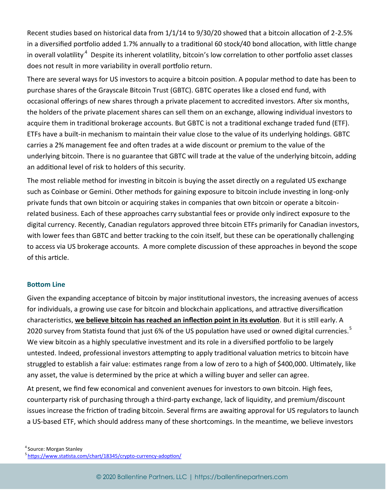Recent studies based on historical data from 1/1/14 to 9/30/20 showed that a bitcoin allocation of 2-2.5% in a diversified portfolio added 1.7% annually to a traditional 60 stock/40 bond allocation, with little change in overall volatility<sup>4</sup> Despite its inherent volatility, bitcoin's low correlation to other portfolio asset classes does not result in more variability in overall portfolio return.

There are several ways for US investors to acquire a bitcoin position. A popular method to date has been to purchase shares of the Grayscale Bitcoin Trust (GBTC). GBTC operates like a closed end fund, with occasional offerings of new shares through a private placement to accredited investors. After six months, the holders of the private placement shares can sell them on an exchange, allowing individual investors to acquire them in traditional brokerage accounts. But GBTC is not a traditional exchange traded fund (ETF). ETFs have a built-in mechanism to maintain their value close to the value of its underlying holdings. GBTC carries a 2% management fee and often trades at a wide discount or premium to the value of the underlying bitcoin. There is no guarantee that GBTC will trade at the value of the underlying bitcoin, adding an additional level of risk to holders of this security.

The most reliable method for investing in bitcoin is buying the asset directly on a regulated US exchange such as Coinbase or Gemini. Other methods for gaining exposure to bitcoin include investing in long-only private funds that own bitcoin or acquiring stakes in companies that own bitcoin or operate a bitcoinrelated business. Each of these approaches carry substantial fees or provide only indirect exposure to the digital currency. Recently, Canadian regulators approved three bitcoin ETFs primarily for Canadian investors, with lower fees than GBTC and better tracking to the coin itself, but these can be operationally challenging to access via US brokerage accounts. A more complete discussion of these approaches in beyond the scope of this article.

#### **Bottom Line**

Given the expanding acceptance of bitcoin by major institutional investors, the increasing avenues of access for individuals, a growing use case for bitcoin and blockchain applications, and attractive diversification characteristics, **we believe bitcoin has reached an inflection point in its evolution**. But it is still early. A 2020 survey from Statista found that just 6% of the US population have used or owned digital currencies.<sup>5</sup> We view bitcoin as a highly speculative investment and its role in a diversified portfolio to be largely untested. Indeed, professional investors attempting to apply traditional valuation metrics to bitcoin have struggled to establish a fair value: estimates range from a low of zero to a high of \$400,000. Ultimately, like any asset, the value is determined by the price at which a willing buyer and seller can agree.

At present, we find few economical and convenient avenues for investors to own bitcoin. High fees, counterparty risk of purchasing through a third-party exchange, lack of liquidity, and premium/discount issues increase the friction of trading bitcoin. Several firms are awaiting approval for US regulators to launch a US-based ETF, which should address many of these shortcomings. In the meantime, we believe investors

<sup>4</sup> Source: Morgan Stanley <sup>5</sup>[https://www.statista.com/chart/18345/crypto](https://www.statista.com/chart/18345/crypto-currency-adoption/)-currency-adoption/